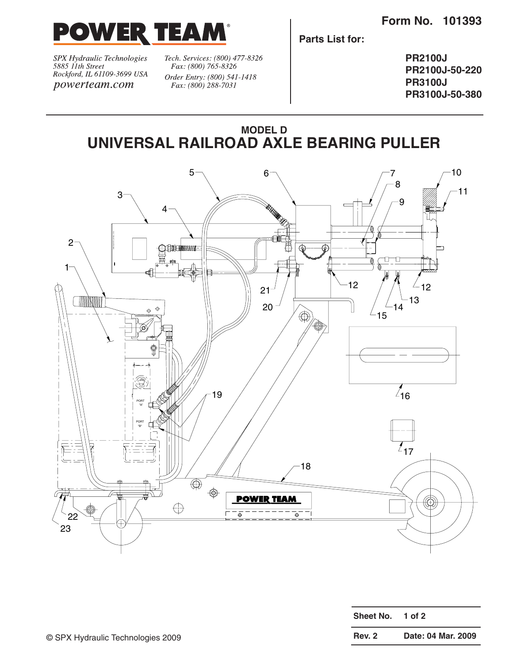

SPX Hydraulic Technologies<br>5885 11th Street Rockford, IL 61109-3699 USA powerteam.com

Tech. Services: (800) 477-8326 Fax: (800) 765-8326 Order Entry: (800) 541-1418 Fax: (800) 288-7031

**Parts List for:**

**PR2100J PR2100J-50-220 PR3100J PR3100J-50-380**





| Sheet No.     | 1 of 2             |  |  |  |  |  |
|---------------|--------------------|--|--|--|--|--|
| <b>Rev. 2</b> | Date: 04 Mar. 2009 |  |  |  |  |  |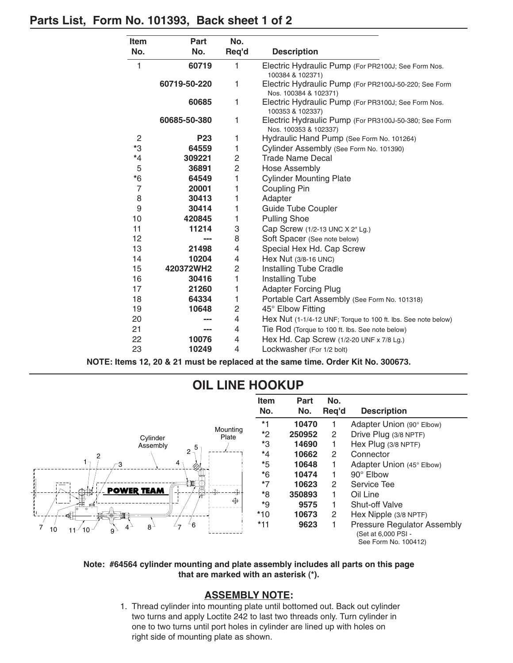## **Parts List, Form No. 101393, Back sheet 1 of 2**

| <b>Item</b>    | Part         | No.            |                                                                                |
|----------------|--------------|----------------|--------------------------------------------------------------------------------|
| No.            | No.          | Req'd          | <b>Description</b>                                                             |
| 1              | 60719        | 1              | Electric Hydraulic Pump (For PR2100J; See Form Nos.<br>100384 & 102371)        |
|                | 60719-50-220 | 1              | Electric Hydraulic Pump (For PR2100J-50-220; See Form<br>Nos. 100384 & 102371) |
|                | 60685        | 1              | Electric Hydraulic Pump (For PR3100J; See Form Nos.<br>100353 & 102337)        |
|                | 60685-50-380 | 1              | Electric Hydraulic Pump (For PR3100J-50-380; See Form<br>Nos. 100353 & 102337) |
| $\overline{c}$ | <b>P23</b>   | 1              | Hydraulic Hand Pump (See Form No. 101264)                                      |
| *3             | 64559        | 1              | Cylinder Assembly (See Form No. 101390)                                        |
| $*_{4}$        | 309221       | 2              | <b>Trade Name Decal</b>                                                        |
| 5              | 36891        | $\overline{2}$ | <b>Hose Assembly</b>                                                           |
| $*6$           | 64549        | 1              | <b>Cylinder Mounting Plate</b>                                                 |
| $\overline{7}$ | 20001        | 1              | <b>Coupling Pin</b>                                                            |
| 8              | 30413        | 1              | Adapter                                                                        |
| 9              | 30414        | 1              | <b>Guide Tube Coupler</b>                                                      |
| 10             | 420845       | 1              | <b>Pulling Shoe</b>                                                            |
| 11             | 11214        | 3              | Cap Screw (1/2-13 UNC X 2" Lg.)                                                |
| 12             |              | 8              | Soft Spacer (See note below)                                                   |
| 13             | 21498        | 4              | Special Hex Hd. Cap Screw                                                      |
| 14             | 10204        | 4              | Hex Nut (3/8-16 UNC)                                                           |
| 15             | 420372WH2    | $\overline{c}$ | <b>Installing Tube Cradle</b>                                                  |
| 16             | 30416        | 1              | <b>Installing Tube</b>                                                         |
| 17             | 21260        | 1              | <b>Adapter Forcing Plug</b>                                                    |
| 18             | 64334        | 1              | Portable Cart Assembly (See Form No. 101318)                                   |
| 19             | 10648        | 2              | 45° Elbow Fitting                                                              |
| 20             |              | 4              | Hex Nut (1-1/4-12 UNF; Torque to 100 ft. lbs. See note below)                  |
| 21             |              | 4              | Tie Rod (Torque to 100 ft. lbs. See note below)                                |
| 22             | 10076        | 4              | Hex Hd. Cap Screw (1/2-20 UNF x 7/8 Lg.)                                       |
| 23             | 10249        | 4              | Lockwasher (For 1/2 bolt)                                                      |

**NOTE: Items 12, 20 & 21 must be replaced at the same time. Order Kit No. 300673.**



## **OIL LINE HOOKUP**

#### **Note: #64564 cylinder mounting and plate assembly includes all parts on this page that are marked with an asterisk (\*).**

### **ASSEMBLY NOTE:**

1. Thread cylinder into mounting plate until bottomed out. Back out cylinder two turns and apply Loctite 242 to last two threads only. Turn cylinder in one to two turns until port holes in cylinder are lined up with holes on right side of mounting plate as shown.